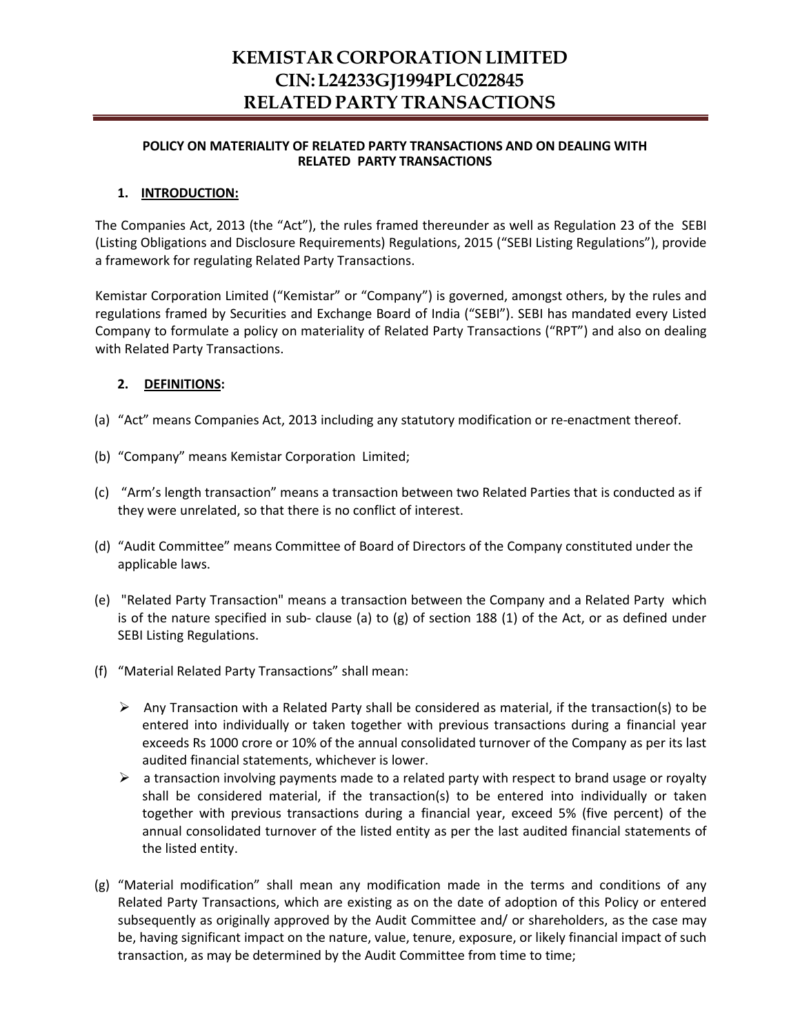# **KEMISTAR CORPORATION LIMITED CIN:L24233GJ1994PLC022845 RELATED PARTY TRANSACTIONS**

#### **POLICY ON MATERIALITY OF RELATED PARTY TRANSACTIONS AND ON DEALING WITH RELATED PARTY TRANSACTIONS**

#### **1. INTRODUCTION:**

The Companies Act, 2013 (the "Act"), the rules framed thereunder as well as Regulation 23 of the SEBI (Listing Obligations and Disclosure Requirements) Regulations, 2015 ("SEBI Listing Regulations"), provide a framework for regulating Related Party Transactions.

Kemistar Corporation Limited ("Kemistar" or "Company") is governed, amongst others, by the rules and regulations framed by Securities and Exchange Board of India ("SEBI"). SEBI has mandated every Listed Company to formulate a policy on materiality of Related Party Transactions ("RPT") and also on dealing with Related Party Transactions.

#### **2. DEFINITIONS:**

- (a) "Act" means Companies Act, 2013 including any statutory modification or re-enactment thereof.
- (b) "Company" means Kemistar Corporation Limited;
- (c) "Arm's length transaction" means a transaction between two Related Parties that is conducted as if they were unrelated, so that there is no conflict of interest.
- (d) "Audit Committee" means Committee of Board of Directors of the Company constituted under the applicable laws.
- (e) "Related Party Transaction" means a transaction between the Company and a Related Party which is of the nature specified in sub- clause (a) to (g) of section 188 (1) of the Act, or as defined under SEBI Listing Regulations.
- (f) "Material Related Party Transactions" shall mean:
	- $\triangleright$  Any Transaction with a Related Party shall be considered as material, if the transaction(s) to be entered into individually or taken together with previous transactions during a financial year exceeds Rs 1000 crore or 10% of the annual consolidated turnover of the Company as per its last audited financial statements, whichever is lower.
	- $\triangleright$  a transaction involving payments made to a related party with respect to brand usage or royalty shall be considered material, if the transaction(s) to be entered into individually or taken together with previous transactions during a financial year, exceed 5% (five percent) of the annual consolidated turnover of the listed entity as per the last audited financial statements of the listed entity.
- (g) "Material modification" shall mean any modification made in the terms and conditions of any Related Party Transactions, which are existing as on the date of adoption of this Policy or entered subsequently as originally approved by the Audit Committee and/ or shareholders, as the case may be, having significant impact on the nature, value, tenure, exposure, or likely financial impact of such transaction, as may be determined by the Audit Committee from time to time;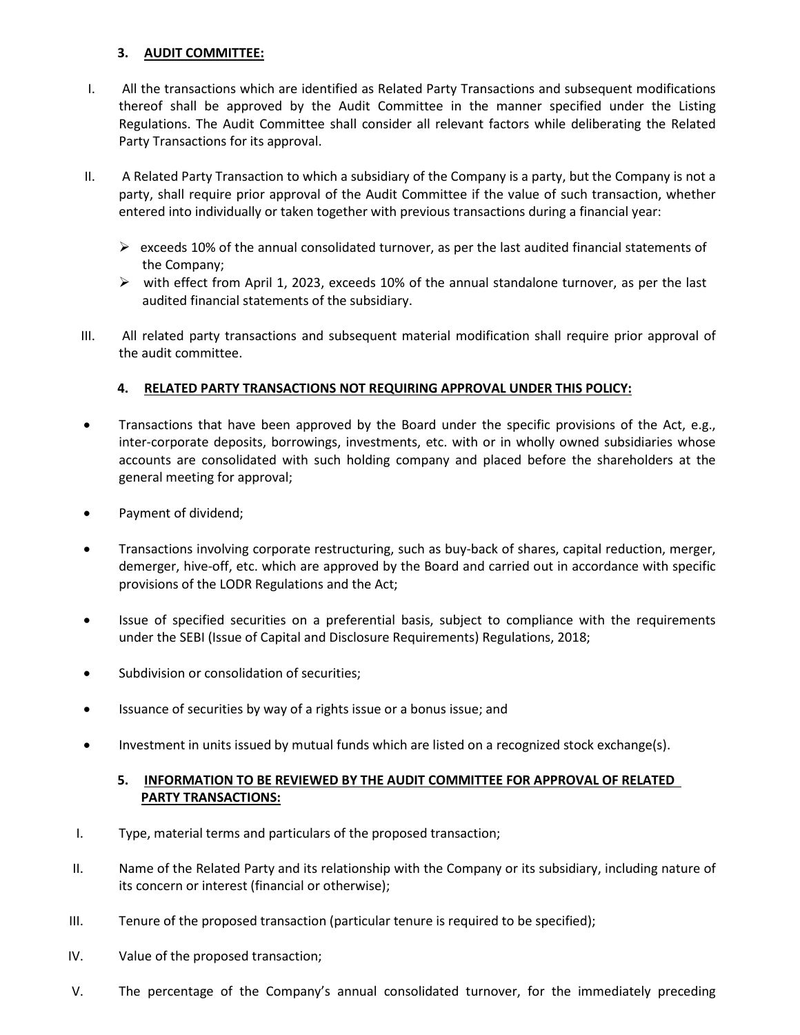## **3. AUDIT COMMITTEE:**

- I. All the transactions which are identified as Related Party Transactions and subsequent modifications thereof shall be approved by the Audit Committee in the manner specified under the Listing Regulations. The Audit Committee shall consider all relevant factors while deliberating the Related Party Transactions for its approval.
- II. A Related Party Transaction to which a subsidiary of the Company is a party, but the Company is not a party, shall require prior approval of the Audit Committee if the value of such transaction, whether entered into individually or taken together with previous transactions during a financial year:
	- $\triangleright$  exceeds 10% of the annual consolidated turnover, as per the last audited financial statements of the Company;
	- $\triangleright$  with effect from April 1, 2023, exceeds 10% of the annual standalone turnover, as per the last audited financial statements of the subsidiary.
- III. All related party transactions and subsequent material modification shall require prior approval of the audit committee.

## **4. RELATED PARTY TRANSACTIONS NOT REQUIRING APPROVAL UNDER THIS POLICY:**

- Transactions that have been approved by the Board under the specific provisions of the Act, e.g., inter-corporate deposits, borrowings, investments, etc. with or in wholly owned subsidiaries whose accounts are consolidated with such holding company and placed before the shareholders at the general meeting for approval;
- Payment of dividend;
- Transactions involving corporate restructuring, such as buy-back of shares, capital reduction, merger, demerger, hive-off, etc. which are approved by the Board and carried out in accordance with specific provisions of the LODR Regulations and the Act;
- Issue of specified securities on a preferential basis, subject to compliance with the requirements under the SEBI (Issue of Capital and Disclosure Requirements) Regulations, 2018;
- Subdivision or consolidation of securities;
- Issuance of securities by way of a rights issue or a bonus issue; and
- Investment in units issued by mutual funds which are listed on a recognized stock exchange(s).

#### **5. INFORMATION TO BE REVIEWED BY THE AUDIT COMMITTEE FOR APPROVAL OF RELATED PARTY TRANSACTIONS:**

- I. Type, material terms and particulars of the proposed transaction;
- II. Name of the Related Party and its relationship with the Company or its subsidiary, including nature of its concern or interest (financial or otherwise);
- III. Tenure of the proposed transaction (particular tenure is required to be specified);
- IV. Value of the proposed transaction;
- V. The percentage of the Company's annual consolidated turnover, for the immediately preceding